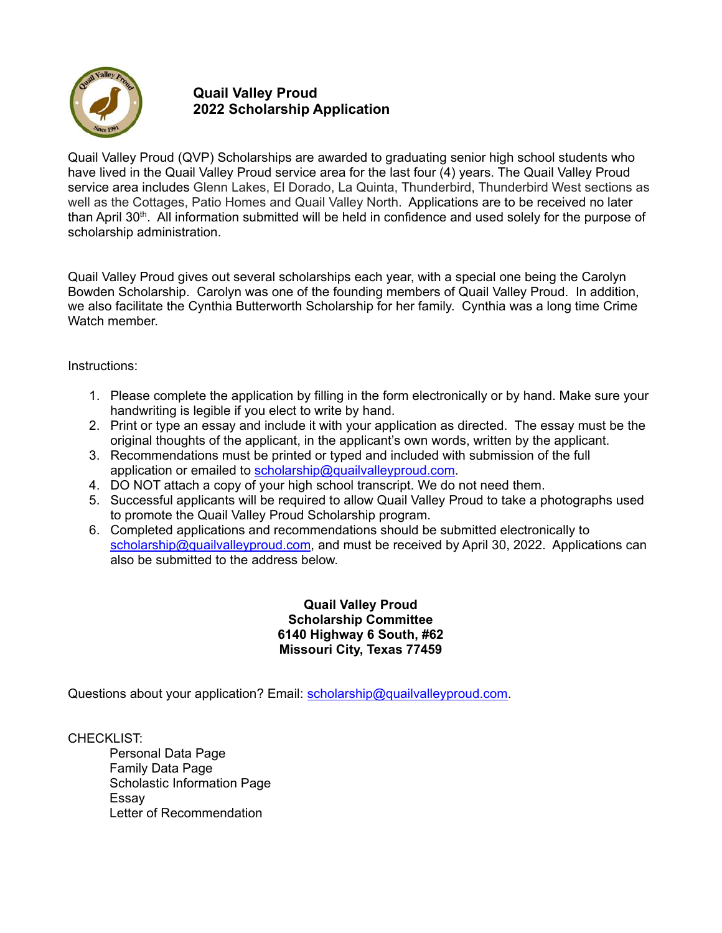

Quail Valley Proud (QVP) Scholarships are awarded to graduating senior high school students who have lived in the Quail Valley Proud service area for the last four (4) years. The Quail Valley Proud service area includes Glenn Lakes, El Dorado, La Quinta, Thunderbird, Thunderbird West sections as well as the Cottages, Patio Homes and Quail Valley North. Applications are to be received no later than April 30th. All information submitted will be held in confidence and used solely for the purpose of scholarship administration.

Quail Valley Proud gives out several scholarships each year, with a special one being the Carolyn Bowden Scholarship. Carolyn was one of the founding members of Quail Valley Proud. In addition, we also facilitate the Cynthia Butterworth Scholarship for her family. Cynthia was a long time Crime Watch member.

Instructions:

- 1. Please complete the application by filling in the form electronically or by hand. Make sure your handwriting is legible if you elect to write by hand.
- 2. Print or type an essay and include it with your application as directed. The essay must be the original thoughts of the applicant, in the applicant's own words, written by the applicant.
- 3. Recommendations must be printed or typed and included with submission of the full application or emailed to scholarship@quailvalleyproud.com.
- 4. DO NOT attach a copy of your high school transcript. We do not need them.
- 5. Successful applicants will be required to allow Quail Valley Proud to take a photographs used to promote the Quail Valley Proud Scholarship program.
- 6. Completed applications and recommendations should be submitted electronically to scholarship@quailvalleyproud.com, and must be received by April 30, 2022. Applications can also be submitted to the address below.

**Quail Valley Proud Scholarship Committee 6140 Highway 6 South, #62 Missouri City, Texas 77459**

Questions about your application? Email: scholarship@quailvalleyproud.com.

CHECKLIST:

Personal Data Page Family Data Page Scholastic Information Page Essay Letter of Recommendation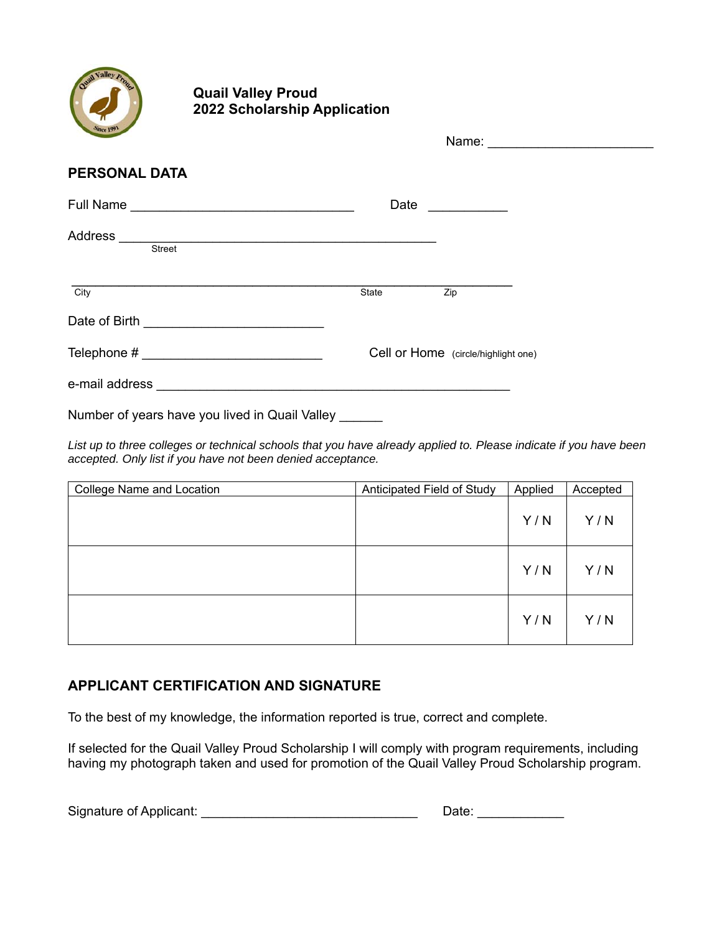

|                                            | Name: _________________________     |      |
|--------------------------------------------|-------------------------------------|------|
| <b>PERSONAL DATA</b>                       |                                     |      |
| Full Name ________________________________ |                                     | Date |
| Address <u>suited</u><br>Street Street     |                                     |      |
| $\overline{City}$                          | State                               | Zip  |
| Date of Birth ____________________________ |                                     |      |
|                                            | Cell or Home (circle/highlight one) |      |
|                                            |                                     |      |

Number of years have you lived in Quail Valley \_\_\_\_\_\_

*List up to three colleges or technical schools that you have already applied to. Please indicate if you have been accepted. Only list if you have not been denied acceptance.* 

| <b>College Name and Location</b> | Anticipated Field of Study | Applied | Accepted |
|----------------------------------|----------------------------|---------|----------|
|                                  |                            | Y/N     | Y/N      |
|                                  |                            | Y/N     | Y/N      |
|                                  |                            | Y/N     | Y/N      |

# **APPLICANT CERTIFICATION AND SIGNATURE**

To the best of my knowledge, the information reported is true, correct and complete.

If selected for the Quail Valley Proud Scholarship I will comply with program requirements, including having my photograph taken and used for promotion of the Quail Valley Proud Scholarship program.

| Signature of Applicant: | Date: |
|-------------------------|-------|
|-------------------------|-------|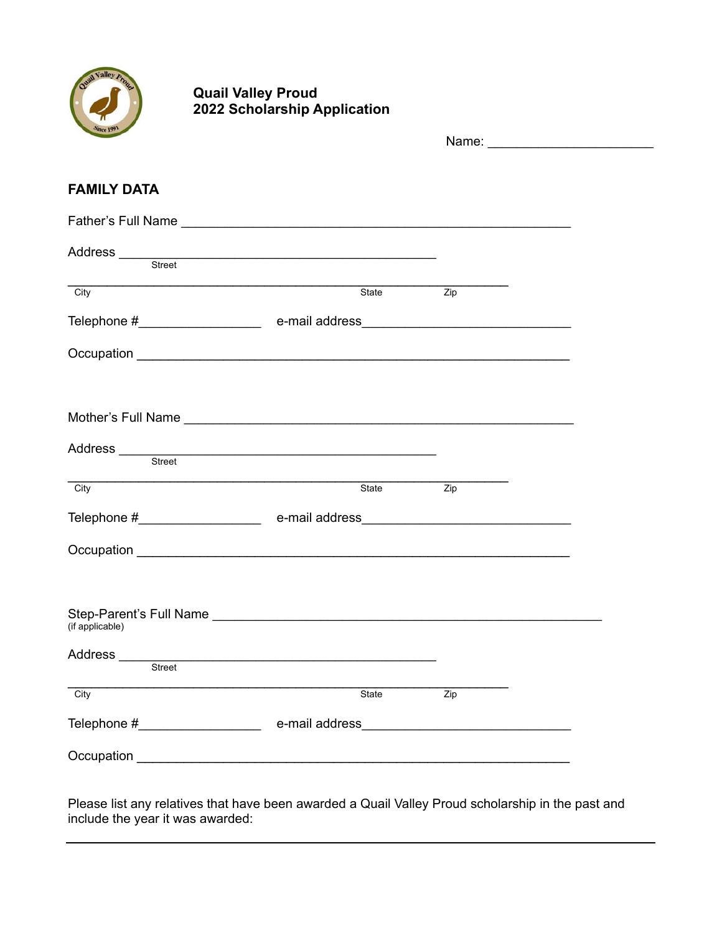

# **COULD ASSESS Quail Valley Proud 2022 Scholarship Application**

|                                                                                                                                                                                                                                                         |                                                                                                                      | Name: __________________________ |  |
|---------------------------------------------------------------------------------------------------------------------------------------------------------------------------------------------------------------------------------------------------------|----------------------------------------------------------------------------------------------------------------------|----------------------------------|--|
| <b>FAMILY DATA</b>                                                                                                                                                                                                                                      |                                                                                                                      |                                  |  |
|                                                                                                                                                                                                                                                         |                                                                                                                      |                                  |  |
|                                                                                                                                                                                                                                                         |                                                                                                                      |                                  |  |
| City                                                                                                                                                                                                                                                    | State                                                                                                                | Zip                              |  |
|                                                                                                                                                                                                                                                         |                                                                                                                      |                                  |  |
|                                                                                                                                                                                                                                                         |                                                                                                                      |                                  |  |
|                                                                                                                                                                                                                                                         |                                                                                                                      |                                  |  |
|                                                                                                                                                                                                                                                         |                                                                                                                      |                                  |  |
| City                                                                                                                                                                                                                                                    | State                                                                                                                | Zip                              |  |
|                                                                                                                                                                                                                                                         |                                                                                                                      |                                  |  |
|                                                                                                                                                                                                                                                         |                                                                                                                      |                                  |  |
| Step-Parent's Full Name <b>contract to the Contract of Contract Contract of Contract Contract Contract Contract Contract Contract Contract Contract Contract Contract Contract Contract Contract Contract Contract Contract Cont</b><br>(if applicable) |                                                                                                                      |                                  |  |
| Address<br>Street                                                                                                                                                                                                                                       | <u> 1989 - Johann Stein, marwolaethau a bhann an t-Amhain Aonaich an t-Amhain Aonaich an t-Amhain Aonaich an t-A</u> |                                  |  |
| City                                                                                                                                                                                                                                                    | State                                                                                                                | $\overline{Zip}$                 |  |
|                                                                                                                                                                                                                                                         | e-mail address                                                                                                       |                                  |  |
|                                                                                                                                                                                                                                                         |                                                                                                                      |                                  |  |

Please list any relatives that have been awarded a Quail Valley Proud scholarship in the past and include the year it was awarded: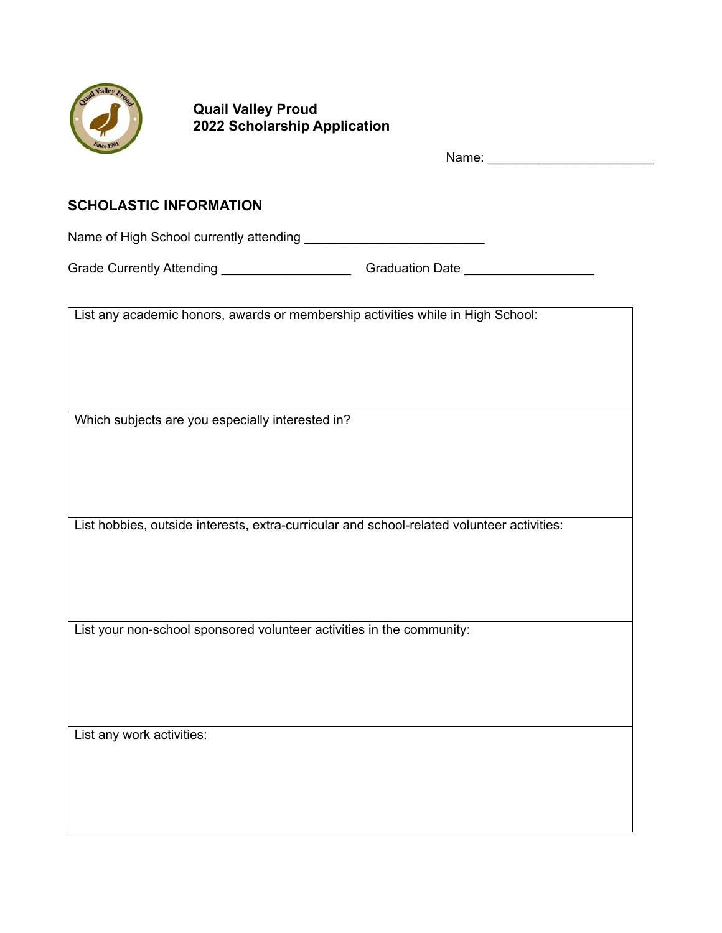

| <i>Since</i> 1991                                                               |                                                                                                     |
|---------------------------------------------------------------------------------|-----------------------------------------------------------------------------------------------------|
| <b>SCHOLASTIC INFORMATION</b>                                                   |                                                                                                     |
|                                                                                 |                                                                                                     |
|                                                                                 | Grade Currently Attending _______________________________Graduation Date __________________________ |
| List any academic honors, awards or membership activities while in High School: |                                                                                                     |
| Which subjects are you especially interested in?                                |                                                                                                     |
|                                                                                 | List hobbies, outside interests, extra-curricular and school-related volunteer activities:          |
| List your non-school sponsored volunteer activities in the community:           |                                                                                                     |
|                                                                                 |                                                                                                     |
| List any work activities:                                                       |                                                                                                     |